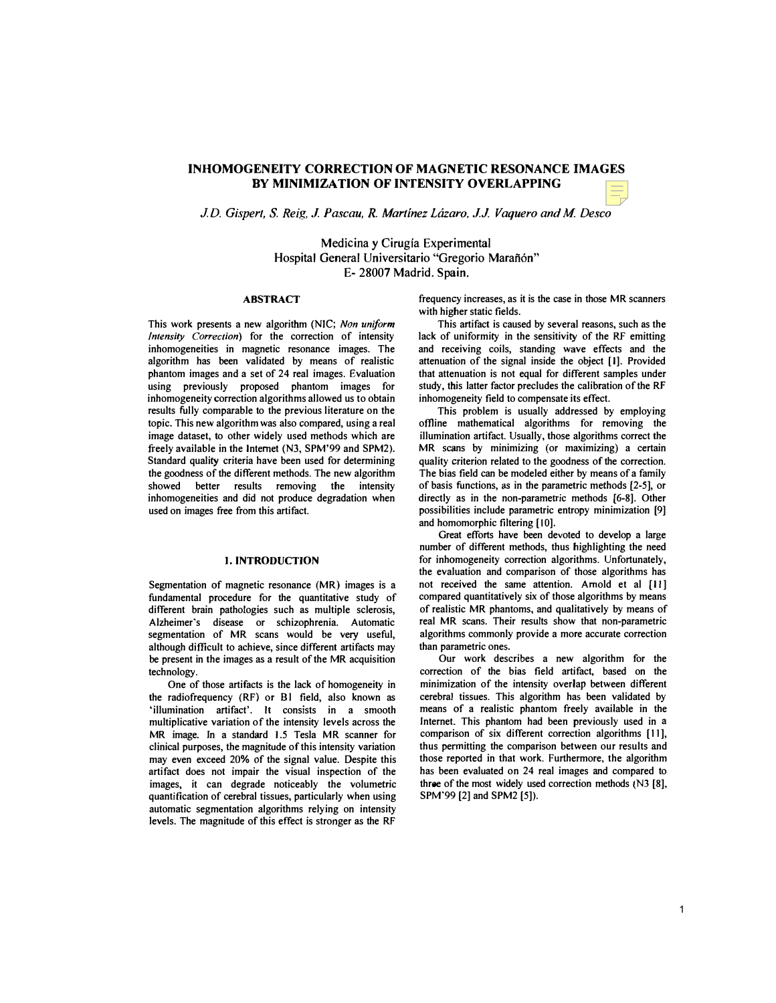# INHOMOGENEITY CORRECTION OF MAGNETIC RESONANCE IMAGES BY MINIMIZATION OF INTENSITY OVERLAPPING

J.D. Gisperl, S. Reig, J. Pascau, R. Martinez Lazaro, J.J. Vaquero and M Desco

Hospital General Universitario "Gregorio Marañón" Medicina y Cirugia Experimental E- 28007 Madrid. Spain.

# ABSTRACT

This work presents a new algorithm (NIC; Non uniform Intensity Correction) for the correction of intensity inhomogeneities in magnetic resonance images. The algorithm has been validated by means of realistic inhomogeneity correction algorithms allowed us to obtain results fully comparable to the previous literature on the topic. This new algorithm was also compared, using a real freely available in the Internet (N3, SPM'99 and SPM2). Standard quality criteria have been used for determining showed better results removing the intensity inhomogeneities and did not produce degradation when phantom images and a set of 24 real images. Evaluation using previously proposed phantom images for image dataset, to other widely used methods which are the goodness of the different methods. The new algorithm used on images free from this artifact.

#### I. INTRODUCTION

 segmentation of MR scans would be very useful, although difficult to achieve, since different artifacts may Segmentation of magnetic resonance (MR) images is a fundamental procedure for the quantitative study of different brain pathologies such as multiple sclerosis, Alzheimer's disease or schizophrenia. Automatic be present in the images as a result of the MR acquisition technology.

 One of those artifacts is the lack of homogeneity in the radiofrequency (RF) or Bl field, also known as multiplicative variation of the intensity levels across the MR image. In a standard 1.5 Tesla MR scanner for clinical purposes, the magnitude of this intensity variation may even exceed 20% of the signal value. Despite this artifact does not impair the visual inspection of the images, it can degrade noticeably the volumetric levels. The magnitude of this effect is stronger as the RF 'illumination artifact'. It consists in a smooth quantification of cerebral tissues, particularly when using automatic segmentation algorithms relying on intensity

 with higher static fields. frequency increases, as it is the case in those MR scanners

 and receiving coils, standing wave effects and the attenuation of the signal inside the object [1]. Provided that attenuation is not equal for different samples under study, this latter factor precludes the calibration of the RF This artifact is caused by several reasons, such as the lack of uniformity in the sensitivity of the RF emitting inhomogeneity field to compensate its effect.

 This problem is usually addressed by employing illumination artifact. Usually, those algorithms correct the quality criterion related to the goodness of the correction. The bias field can be modeled either by means of a family of basis functions, as in the parametric methods [2-5], or directly as in the non-parametric methods [6-8]. Other possibilities include parametric entropy minimization [9] offline mathematical algorithms for removing the MR scans by minimizing (or maximizing) a certain and homomorphic filtering [10].

 Great efforts have been devoted to develop a large for inhomogeneity correction algorithms. Unfortunately, the evaluation and comparison of those algorithms has compared quantitatively six of those algorithms by means real MR scans. Their results show that non-parametric algorithms commonly provide a more accurate correction number of different methods, thus highlighting the need not received the same attention. Arnold et al [11] of realistic MR phantoms, and qualitatively by means of than parametric ones.

 Our work describes a new algorithm for the minimization of the intensity overlap between different cerebral tissues. This algorithm has been validated by means of a realistic phantom freely available in the Internet. This phantom had been previously used in a comparison of six different correction algorithms [II], thus pennitting the comparison between our results and those reported in that work. Furthermore, the algorithm has been evaluated on 24 real images and compared to correction of the bias field artifact, based on the three of the most widely used correction methods (N3 [8], SPM'99 [2] and SPM2 [5]).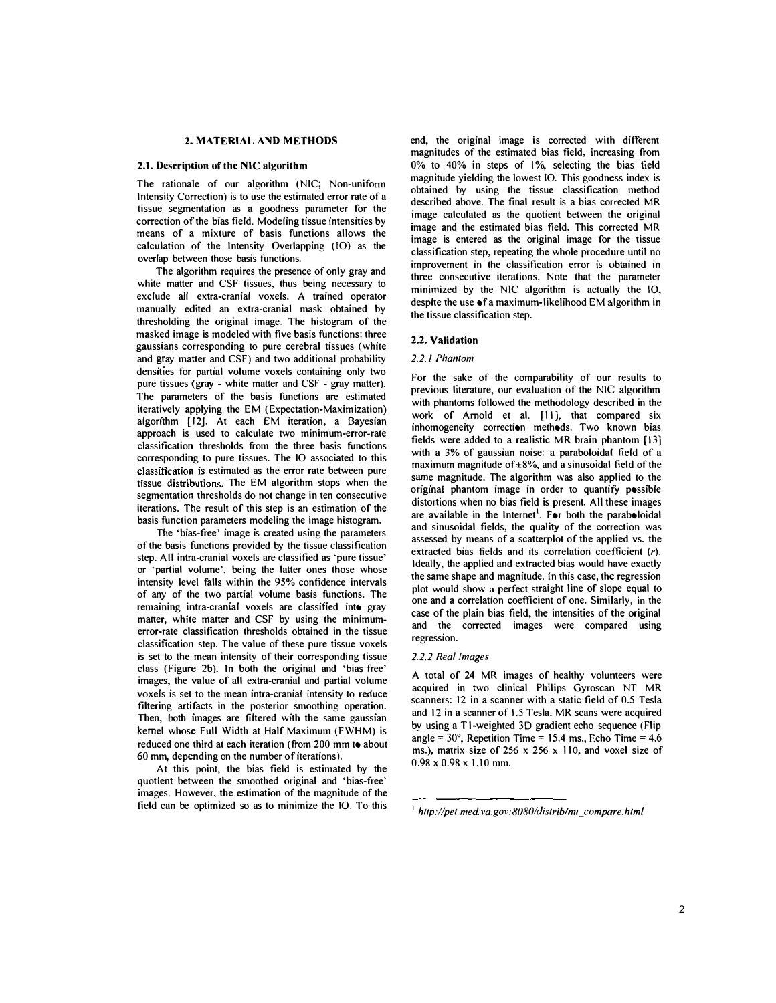# 2. MATERIAL AND METHODS

### 2.1. Description of the NIC algorithm

 The rationale of our algorithm (NIC; Non-unifonn Intensity Correction) is to use the estimated error rate of a correction of the bias field. Modeling tissue intensities by means of a mixture of basis functions allows the calculation of the Intensity Overlapping (10) as the tissue segmentation as a goodness parameter for the overlap between those basis functions.

 The algorithm requires the presence of only gray and white matter and CSF tissues, thus being necessary to exclude all extra-cranial voxels. A trained operator manually edited an extra-cranial mask obtained by thresholding the original image. The histogram of the masked image is modeled with five basis functions: three and gray matter and CSF) and two additional probability densities for partial volume voxels containing only two pure tissues (gray - white matter and CSF - gray matter). classification thresholds from the three basis functions estimated as the error rate between pure tissue distributions. The EM algorithm stops when the iterations. The result of this step is an estimation of the gaussians corresponding to pure cerebral tissues (white The parameters of the basis functions are estimated iteratively applying the EM (Expectation·Maximization) algorithm (12). At each EM iteration, a Bayesian approach is used to calculate two minimum-error-rate corresponding to pure tissues. The 10 associated to this segmentation thresholds do not change in ten consecutive basis function parameters modeling the image histogram.

 The 'bias-free' image is created using the parameters of the basis functions provided by the tissue classification step. All intra-cranial voxels are classified as 'pure tissue' or 'partial volume', being the latter ones those whose intensity level falls within the 95% confidence intervals of any of the two partial volume basis functions. The remaining intra·cranial voxels are classified into gray matter, white matter and CSF by using the minimum- error-rate classification thresholds obtained in the tissue classification step. The value of these pure tissue voxels is set to the mean intensity of their corresponding tissue class (Figure 2b). In both the original and 'bias free' images, the value of all extra-cranial and partial volume voxels is set to the mean intra-cranial intensity to reduce filtering artifacts in the posterior smoothing operation. reduced one third at each iteration (from 200 mm to about 60 mm. depending on the number of iterations). Then, both images are filtered with the same gaussian kernel whose Full Width at Half Maximum (FWHM) is

 At this point. the bias field is estimated by the quotient between the smoothed original and 'bias-free' images. However, the estimation of the magnitude of the field can be optimized so as to minimize the 10 . To this

 magnitudes of the estimated bias field, increasing from obtained by using the tissue classification method described above. The final result is a bias corrected MR image calculated as the quotient between the original image and the estimated bias field. This corrected MR image is entered as the original image for the tissue improvement in the classification error is obtained in minimized by the NIC algorithm is actually the IO, end, the original image is corrected with different  $0\%$  to  $40\%$  in steps of  $1\%$ , selecting the bias field magnitude yielding the lowest 10. This goodness index is classification step, repeating the whole procedure until no three consecutive iterations. Note that the parameter despite the use  $\bullet$  f a maximum-likelihood EM algorithm in the tissue classification step.

## 2.2. Validation

#### 2.2.1 Phantom

 For the sake of the comparability of our results to previous literature, our evaluation of the NIC algorithm with phantoms followed the methodology described in the inhomogeneity correction methods. Two known bias fields were added to a realistic MR brain phantom [13J with a 3% of gaussian noise: a paraboloidal field of a maximum magnitude of ±8%, and a sinusoidal field of the distortions when no bias field is present. All these images are available in the Internet<sup>1</sup>. For both the paraboloidal and sinusoidal fields, the quality of the correction was assessed by means of a scatterplot of the applied vs. the plot would show a perfect straight line of slope equal to one and a correlation coefficient of one. Similarly, in the case of the plain bias field, the intensities of the original and the corrected images were compared using work of Arnold et al. [11], that compared six same magnitude. The algorithm was also applied to the original phantom image in order to quantify possible extracted bias fields and its correlation coefficient (r). Ideally. the applied and extracted bias would have exactly the same shape and magnitude. In this case, the regression regression.

#### 2.2.2 Real Images

 A total of 24 MR images of healthy volunteers were acquired in two clinical Philips Gyroscan NT MR and 12 in a scanner of 1.5 Tesla. MR scans were acquired scanners: 12 in a scanner with a static field of 0.5 Tesla by using a  $T1$ -weighted 3D gradient echo sequence (Flip angle  $= 30^{\circ}$ , Repetition Time  $= 15.4$  ms., Echo Time  $= 4.6$ ms.), matrix size of 256  $\times$  256  $\times$  110, and voxel size of  $0.98 \times 0.98 \times 1.10$  mm.

 $^1$  http://pet.med.va.gov:8080/distrib/nu compare.html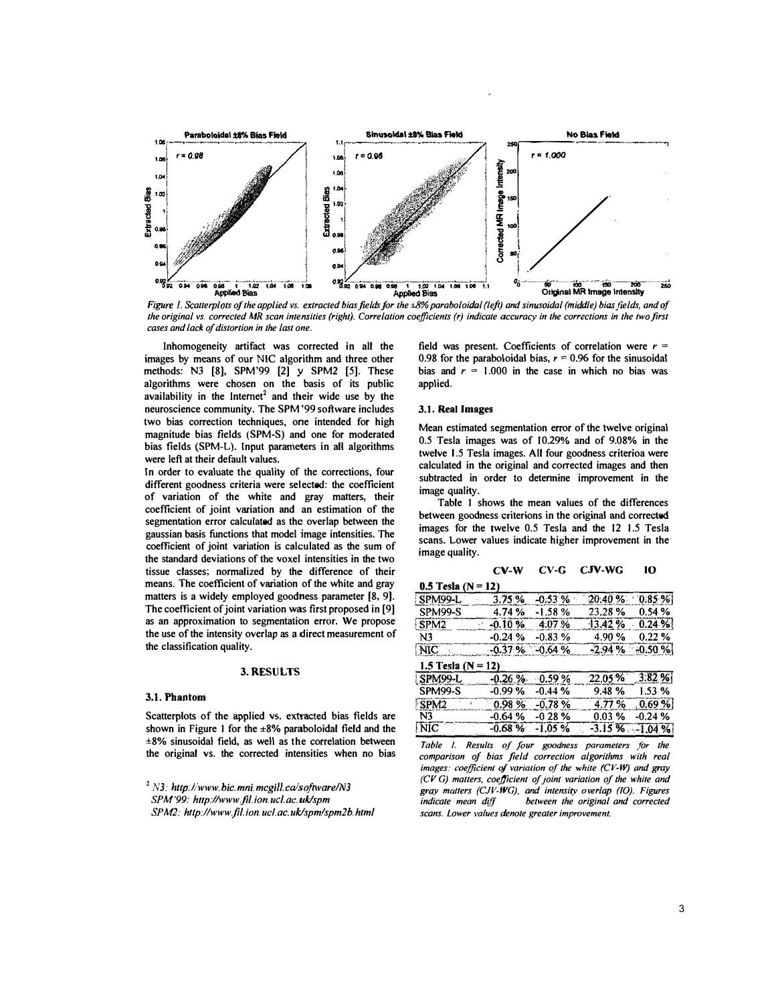

Figure 1. Scatterplots of the applied vs. extracted bias fields for the ±8% paraboloidal (left) and simusoidal (middle) bias fields, and of the original vs. corrected MR scan intensities (right). Correlation coefficients (r) indicate accuracy in the corrections in the two first cases and lack of distortion in the last one.

Inhomogeneity artifact was corrected in all the images by means of our NIC algorithm and three other methods: N3 [8], SPM'99 [2] y SPM2 [5]. These algorithms were chosen on the basis of its public availability in the Internet<sup>2</sup> and their wide use by the neuroscience community. The SPM '99 software includes two bias correction techniques, one intended for high magnitude bias fields (SPM-S) and one for moderated bias fields (SPM-L). Input parameters in all algorithms were left at their default values.

In order to evaluate the quality of the corrections, four different goodness criteria were selected: the coefficient of variation of the white and gray matters, their coefficient of joint variation and an estimation of the segmentation error calculated as the overlap between the gaussian basis functions that model image intensities. The coefficient of joint variation is calculated as the sum of the standard deviations of the voxel intensities in the two tissue classes; normalized by the difference of their means. The coefficient of variation of the white and gray matters is a widely employed goodness parameter [8, 9]. The coefficient of joint variation was first proposed in [9] as an approximation to segmentation error. We propose the use of the intensity overlap as a direct measurement of the classification quality.

# 3. RESULTS

#### 3.1. Phantom

Scatterplots of the applied vs. extracted bias fields are shown in Figure 1 for the  $\pm 8\%$  paraboloidal field and the  $\pm$ 8% sinusoidal field, as well as the correlation between the original vs. the corrected intensities when no bias

 $2$  N3: http://www.bic.mni.mcgill.ca/software/N3 SPM'99: http://www.fil.ion.ucl.ac.uk/spm SPM2: http://www.fil.ion.ucl.ac.uk/spm/spm2b.html

field was present. Coefficients of correlation were  $r =$ 0.98 for the paraboloidal bias,  $r = 0.96$  for the sinusoidal bias and  $r = 1.000$  in the case in which no bias was applied.

### 3.1. Real Images

Mean estimated segmentation error of the twelve original 0.5 Tesla images was of 10.29% and of 9.08% in the twelve 1.5 Tesla images. All four goodness criterioa were calculated in the original and corrected images and then subtracted in order to determine improvement in the image quality.

Table 1 shows the mean values of the differences between goodness criterions in the original and corrected images for the twelve 0.5 Tesla and the 12 1.5 Tesla scans. Lower values indicate higher improvement in the image quality.

#### $CV-W$  $CV-G$  $C$ JV-WG 10

| $0.5$ Tesla (N = 12) |          |                     |          |           |
|----------------------|----------|---------------------|----------|-----------|
| <b>SPM99-L</b>       | 3.75%    | $-0.53%$            | 20.40%   | 0.85%     |
| SPM99-S              | 4.74 %   | -1.58%              | 23.28 %  | 0.54%     |
| SPM <sub>2</sub>     | $-0.10%$ | 4.07%               | 13.42%   | 0.24%     |
| N3                   | $-0.24%$ | $-0.83%$            | 4.90%    | 0.22%     |
| NIC                  |          | $-0.37\%$ $-0.64\%$ | $-2.94%$ | $-0.50%$  |
| 1.5 Tesla (N = 12)   |          |                     |          |           |
| SPM99-L              | $-0.26%$ | $-0.59%$            | 22.05%   | 3.82%     |
| SPM99-S              | $-0.99%$ | $-0.44%$            | 9.48%    | 1.53 %    |
| <b>SPM2</b>          | 0.98%    | $-0.78%$            | 4.77%    | $.0.69\%$ |
| N <sub>3</sub>       | $-0.64%$ | $-0.28%$            | 0.03%    | $-0.24%$  |
| NIC                  | $-0.68%$ | $-1.05%$            | $-3.15%$ | $-1.04%$  |

Table 1. Results of four goodness parameters for the comparison of bias field correction algorithms with real images: coefficient of variation of the white (CV-W) and gray (CV G) matters, coefficient of joint variation of the white and gray matters (CJV-WG), and intensity overlap (IO). Figures indicate mean diff between the original and corrected scans. Lower values denote greater improvement.